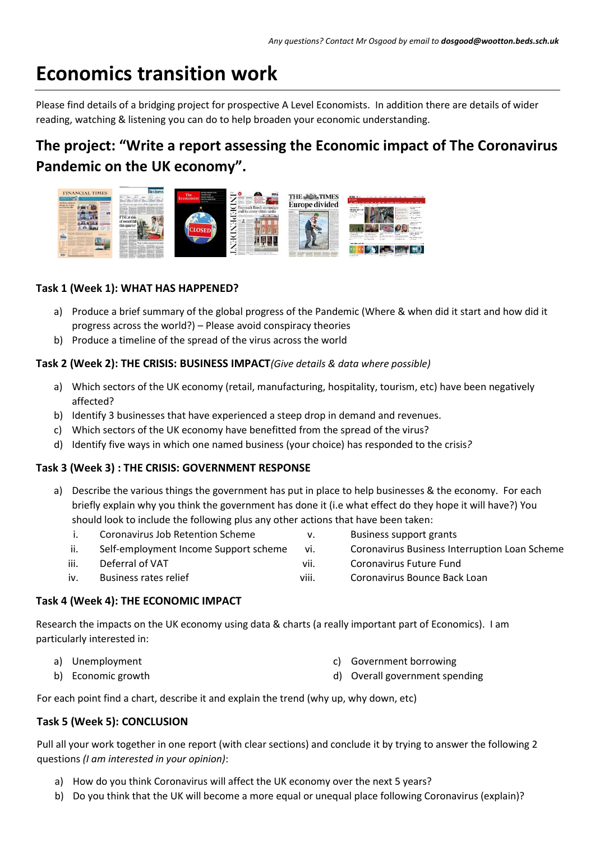# **Economics transition work**

Please find details of a bridging project for prospective A Level Economists. In addition there are details of wider reading, watching & listening you can do to help broaden your economic understanding.

# **The project: "Write a report assessing the Economic impact of The Coronavirus Pandemic on the UK economy".**



# **Task 1 (Week 1): WHAT HAS HAPPENED?**

- a) Produce a brief summary of the global progress of the Pandemic (Where & when did it start and how did it progress across the world?) – Please avoid conspiracy theories
- b) Produce a timeline of the spread of the virus across the world

#### **Task 2 (Week 2): THE CRISIS: BUSINESS IMPACT***(Give details & data where possible)*

- a) Which sectors of the UK economy (retail, manufacturing, hospitality, tourism, etc) have been negatively affected?
- b) Identify 3 businesses that have experienced a steep drop in demand and revenues.
- c) Which sectors of the UK economy have benefitted from the spread of the virus?
- d) Identify five ways in which one named business (your choice) has responded to the crisis*?*

# **Task 3 (Week 3) : THE CRISIS: GOVERNMENT RESPONSE**

| a) Describe the various things the government has put in place to help businesses & the economy. For each |
|-----------------------------------------------------------------------------------------------------------|
| briefly explain why you think the government has done it (i.e what effect do they hope it will have?) You |
| should look to include the following plus any other actions that have been taken:                         |

| Coronavirus Job Retention Scheme      | Business support grants                              |
|---------------------------------------|------------------------------------------------------|
| Self-employment Income Support scheme | <b>Coronavirus Business Interruption Loan Scheme</b> |

- iii. Deferral of VAT vii. Coronavirus Future Fund
- iv. Business rates relief viii. Coronavirus Bounce Back Loan

#### **Task 4 (Week 4): THE ECONOMIC IMPACT**

Research the impacts on the UK economy using data & charts (a really important part of Economics). I am particularly interested in:

- a) Unemployment
- c) Government borrowing
- b) Economic growth d) Overall government spending

For each point find a chart, describe it and explain the trend (why up, why down, etc)

# **Task 5 (Week 5): CONCLUSION**

Pull all your work together in one report (with clear sections) and conclude it by trying to answer the following 2 questions *(I am interested in your opinion)*:

- a) How do you think Coronavirus will affect the UK economy over the next 5 years?
- b) Do you think that the UK will become a more equal or unequal place following Coronavirus (explain)?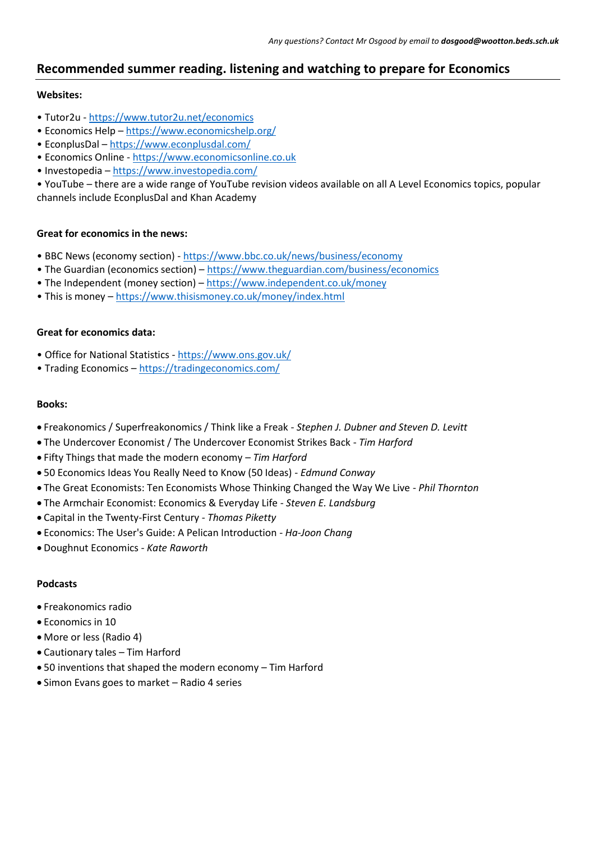# **Recommended summer reading. listening and watching to prepare for Economics**

#### **Websites:**

- Tutor2u <https://www.tutor2u.net/economics>
- Economics Help <https://www.economicshelp.org/>
- EconplusDal <https://www.econplusdal.com/>
- Economics Online [https://www.economicsonline.co.uk](https://www.economicsonline.co.uk/)
- Investopedia <https://www.investopedia.com/>

• YouTube – there are a wide range of YouTube revision videos available on all A Level Economics topics, popular channels include EconplusDal and Khan Academy

#### **Great for economics in the news:**

- BBC News (economy section) <https://www.bbc.co.uk/news/business/economy>
- The Guardian (economics section) <https://www.theguardian.com/business/economics>
- The Independent (money section) <https://www.independent.co.uk/money>
- This is money <https://www.thisismoney.co.uk/money/index.html>

#### **Great for economics data:**

- Office for National Statistics <https://www.ons.gov.uk/>
- Trading Economics <https://tradingeconomics.com/>

#### **Books:**

- Freakonomics / Superfreakonomics / Think like a Freak *Stephen J. Dubner and Steven D. Levitt*
- The Undercover Economist / The Undercover Economist Strikes Back *Tim Harford*
- Fifty Things that made the modern economy *Tim Harford*
- 50 Economics Ideas You Really Need to Know (50 Ideas) *Edmund Conway*
- The Great Economists: Ten Economists Whose Thinking Changed the Way We Live *Phil Thornton*
- The Armchair Economist: Economics & Everyday Life *Steven E. Landsburg*
- Capital in the Twenty-First Century *Thomas Piketty*
- Economics: The User's Guide: A Pelican Introduction *Ha-Joon Chang*
- Doughnut Economics *Kate Raworth*

#### **Podcasts**

- Freakonomics radio
- Economics in 10
- More or less (Radio 4)
- Cautionary tales Tim Harford
- 50 inventions that shaped the modern economy Tim Harford
- Simon Evans goes to market Radio 4 series